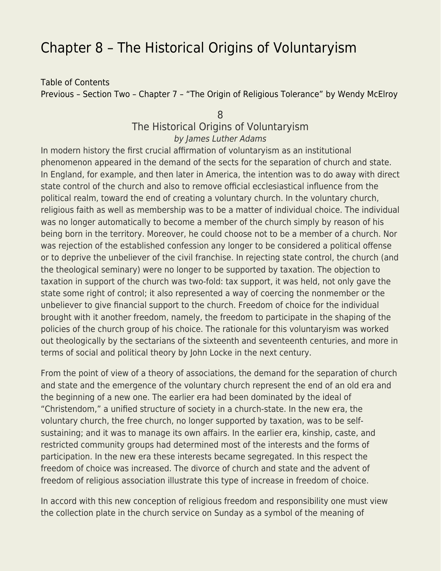## [Chapter 8 – The Historical Origins of Voluntaryism](https://everything-voluntary.com/everything-voluntary-chapter-8)

[Table of Contents](http://everything-voluntary.com/p/book-project.html) [Previous – Section Two – Chapter 7 – "The Origin of Religious Tolerance" by Wendy McElroy](http://everything-voluntary.com/2012/05/everything-voluntary-chapter-7.html)

8

## The Historical Origins of Voluntaryism by James Luther Adams

In modern history the first crucial affirmation of voluntaryism as an institutional phenomenon appeared in the demand of the sects for the separation of church and state. In England, for example, and then later in America, the intention was to do away with direct state control of the church and also to remove official ecclesiastical influence from the political realm, toward the end of creating a voluntary church. In the voluntary church, religious faith as well as membership was to be a matter of individual choice. The individual was no longer automatically to become a member of the church simply by reason of his being born in the territory. Moreover, he could choose not to be a member of a church. Nor was rejection of the established confession any longer to be considered a political offense or to deprive the unbeliever of the civil franchise. In rejecting state control, the church (and the theological seminary) were no longer to be supported by taxation. The objection to taxation in support of the church was two-fold: tax support, it was held, not only gave the state some right of control; it also represented a way of coercing the nonmember or the unbeliever to give financial support to the church. Freedom of choice for the individual brought with it another freedom, namely, the freedom to participate in the shaping of the policies of the church group of his choice. The rationale for this voluntaryism was worked out theologically by the sectarians of the sixteenth and seventeenth centuries, and more in terms of social and political theory by John Locke in the next century.

From the point of view of a theory of associations, the demand for the separation of church and state and the emergence of the voluntary church represent the end of an old era and the beginning of a new one. The earlier era had been dominated by the ideal of "Christendom," a unified structure of society in a church-state. In the new era, the voluntary church, the free church, no longer supported by taxation, was to be selfsustaining; and it was to manage its own affairs. In the earlier era, kinship, caste, and restricted community groups had determined most of the interests and the forms of participation. In the new era these interests became segregated. In this respect the freedom of choice was increased. The divorce of church and state and the advent of freedom of religious association illustrate this type of increase in freedom of choice.

In accord with this new conception of religious freedom and responsibility one must view the collection plate in the church service on Sunday as a symbol of the meaning of